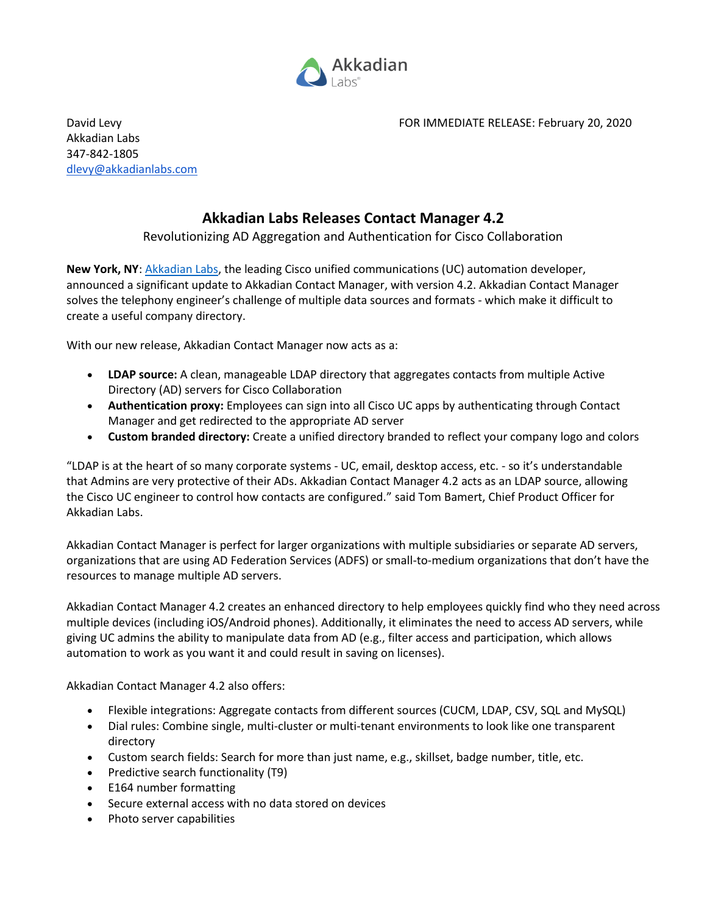

Akkadian Labs 347-842-1805 [dlevy@akkadianlabs.com](mailto:dlevy@akkadianlabs.com)

## **Akkadian Labs Releases Contact Manager 4.2**

## Revolutionizing AD Aggregation and Authentication for Cisco Collaboration

**New York, NY**: [Akkadian Labs,](https://www.akkadianlabs.com/) the leading Cisco unified communications (UC) automation developer, announced a significant update to Akkadian Contact Manager, with version 4.2. Akkadian Contact Manager solves the telephony engineer's challenge of multiple data sources and formats - which make it difficult to create a useful company directory.

With our new release, Akkadian Contact Manager now acts as a:

- **LDAP source:** A clean, manageable LDAP directory that aggregates contacts from multiple Active Directory (AD) servers for Cisco Collaboration
- **Authentication proxy:** Employees can sign into all Cisco UC apps by authenticating through Contact Manager and get redirected to the appropriate AD server
- **Custom branded directory:** Create a unified directory branded to reflect your company logo and colors

"LDAP is at the heart of so many corporate systems - UC, email, desktop access, etc. - so it's understandable that Admins are very protective of their ADs. Akkadian Contact Manager 4.2 acts as an LDAP source, allowing the Cisco UC engineer to control how contacts are configured." said Tom Bamert, Chief Product Officer for Akkadian Labs.

Akkadian Contact Manager is perfect for larger organizations with multiple subsidiaries or separate AD servers, organizations that are using AD Federation Services (ADFS) or small-to-medium organizations that don't have the resources to manage multiple AD servers.

Akkadian Contact Manager 4.2 creates an enhanced directory to help employees quickly find who they need across multiple devices (including iOS/Android phones). Additionally, it eliminates the need to access AD servers, while giving UC admins the ability to manipulate data from AD (e.g., filter access and participation, which allows automation to work as you want it and could result in saving on licenses).

Akkadian Contact Manager 4.2 also offers:

- Flexible integrations: Aggregate contacts from different sources (CUCM, LDAP, CSV, SQL and MySQL)
- Dial rules: Combine single, multi-cluster or multi-tenant environments to look like one transparent directory
- Custom search fields: Search for more than just name, e.g., skillset, badge number, title, etc.
- Predictive search functionality (T9)
- E164 number formatting
- Secure external access with no data stored on devices
- Photo server capabilities